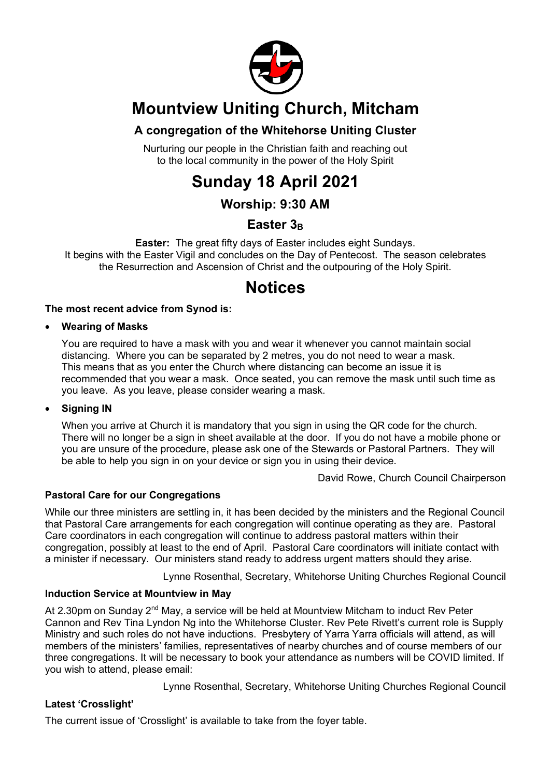

# **Mountview Uniting Church, Mitcham**

### **A congregation of the Whitehorse Uniting Cluster**

Nurturing our people in the Christian faith and reaching out to the local community in the power of the Holy Spirit

# **Sunday 18 April 2021**

## **Worship: 9:30 AM**

## Easter 3<sub>B</sub>

**Easter:** The great fifty days of Easter includes eight Sundays. It begins with the Easter Vigil and concludes on the Day of Pentecost. The season celebrates the Resurrection and Ascension of Christ and the outpouring of the Holy Spirit.

## **Notices**

#### **The most recent advice from Synod is:**

#### • **Wearing of Masks**

You are required to have a mask with you and wear it whenever you cannot maintain social distancing. Where you can be separated by 2 metres, you do not need to wear a mask. This means that as you enter the Church where distancing can become an issue it is recommended that you wear a mask. Once seated, you can remove the mask until such time as you leave. As you leave, please consider wearing a mask.

#### • **Signing IN**

When you arrive at Church it is mandatory that you sign in using the QR code for the church. There will no longer be a sign in sheet available at the door. If you do not have a mobile phone or you are unsure of the procedure, please ask one of the Stewards or Pastoral Partners. They will be able to help you sign in on your device or sign you in using their device.

David Rowe, Church Council Chairperson

#### **Pastoral Care for our Congregations**

While our three ministers are settling in, it has been decided by the ministers and the Regional Council that Pastoral Care arrangements for each congregation will continue operating as they are. Pastoral Care coordinators in each congregation will continue to address pastoral matters within their congregation, possibly at least to the end of April. Pastoral Care coordinators will initiate contact with a minister if necessary. Our ministers stand ready to address urgent matters should they arise.

Lynne Rosenthal, Secretary, Whitehorse Uniting Churches Regional Council

#### **Induction Service at Mountview in May**

At 2.30pm on Sunday  $2^{nd}$  May, a service will be held at Mountview Mitcham to induct Rev Peter Cannon and Rev Tina Lyndon Ng into the Whitehorse Cluster. Rev Pete Rivett's current role is Supply Ministry and such roles do not have inductions. Presbytery of Yarra Yarra officials will attend, as will members of the ministers' families, representatives of nearby churches and of course members of our three congregations. It will be necessary to book your attendance as numbers will be COVID limited. If you wish to attend, please email:

Lynne Rosenthal, Secretary, Whitehorse Uniting Churches Regional Council

#### **Latest 'Crosslight'**

The current issue of 'Crosslight' is available to take from the foyer table.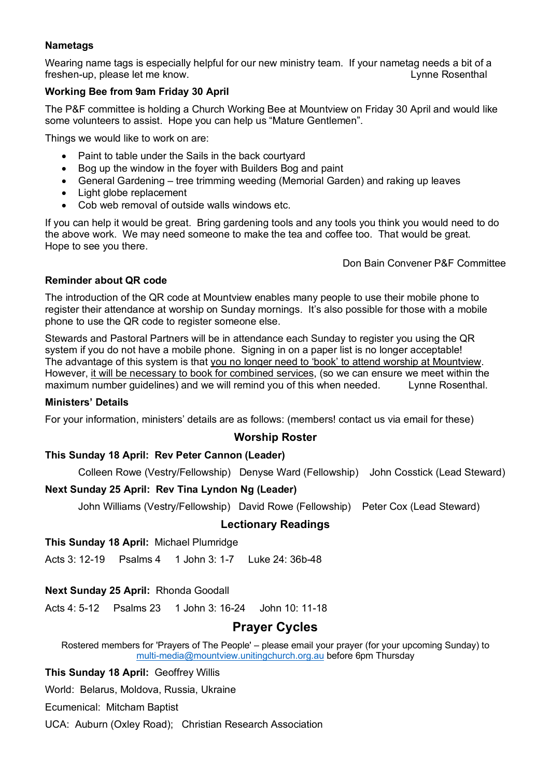#### **Nametags**

Wearing name tags is especially helpful for our new ministry team. If your nametag needs a bit of a freshen-up, please let me know. Lynne Rosenthal

#### **Working Bee from 9am Friday 30 April**

The P&F committee is holding a Church Working Bee at Mountview on Friday 30 April and would like some volunteers to assist. Hope you can help us "Mature Gentlemen".

Things we would like to work on are:

- Paint to table under the Sails in the back courtyard
- Bog up the window in the foyer with Builders Bog and paint
- General Gardening tree trimming weeding (Memorial Garden) and raking up leaves
- Light globe replacement
- Cob web removal of outside walls windows etc.

If you can help it would be great. Bring gardening tools and any tools you think you would need to do the above work. We may need someone to make the tea and coffee too. That would be great. Hope to see you there.

Don Bain Convener P&F Committee

#### **Reminder about QR code**

The introduction of the QR code at Mountview enables many people to use their mobile phone to register their attendance at worship on Sunday mornings. It's also possible for those with a mobile phone to use the QR code to register someone else.

Stewards and Pastoral Partners will be in attendance each Sunday to register you using the QR system if you do not have a mobile phone. Signing in on a paper list is no longer acceptable! The advantage of this system is that you no longer need to 'book' to attend worship at Mountview. However, it will be necessary to book for combined services, (so we can ensure we meet within the maximum number guidelines) and we will remind you of this when needed. Lynne Rosenthal.

#### **Ministers' Details**

For your information, ministers' details are as follows: (members! contact us via email for these)

#### **Worship Roster**

#### **This Sunday 18 April: Rev Peter Cannon (Leader)**

Colleen Rowe (Vestry/Fellowship) Denyse Ward (Fellowship) John Cosstick (Lead Steward)

#### **Next Sunday 25 April: Rev Tina Lyndon Ng (Leader)**

John Williams (Vestry/Fellowship) David Rowe (Fellowship) Peter Cox (Lead Steward)

#### **Lectionary Readings**

**This Sunday 18 April:** Michael Plumridge

Acts 3: 12-19 Psalms 4 1 John 3: 1-7 Luke 24: 36b-48

#### **Next Sunday 25 April:** Rhonda Goodall

Acts 4: 5-12 Psalms 23 1 John 3: 16-24 John 10: 11-18

#### **Prayer Cycles**

Rostered members for 'Prayers of The People' – please email your prayer (for your upcoming Sunday) to multi-media@mountview.unitingchurch.org.au before 6pm Thursday

**This Sunday 18 April:** Geoffrey Willis

World: Belarus, Moldova, Russia, Ukraine

Ecumenical: Mitcham Baptist

UCA: Auburn (Oxley Road); Christian Research Association